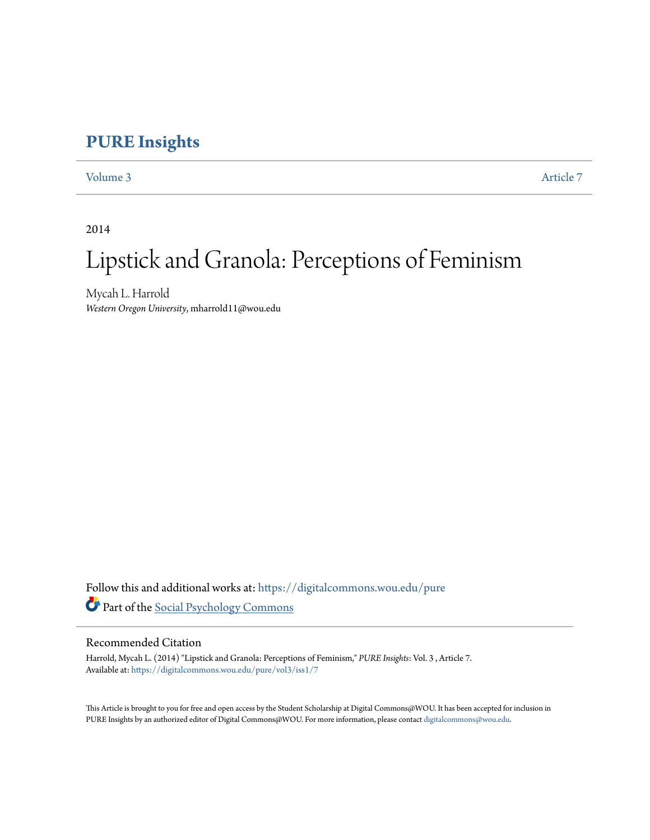# **[PURE Insights](https://digitalcommons.wou.edu/pure?utm_source=digitalcommons.wou.edu%2Fpure%2Fvol3%2Fiss1%2F7&utm_medium=PDF&utm_campaign=PDFCoverPages)**

[Volume 3](https://digitalcommons.wou.edu/pure/vol3?utm_source=digitalcommons.wou.edu%2Fpure%2Fvol3%2Fiss1%2F7&utm_medium=PDF&utm_campaign=PDFCoverPages) [Article 7](https://digitalcommons.wou.edu/pure/vol3/iss1/7?utm_source=digitalcommons.wou.edu%2Fpure%2Fvol3%2Fiss1%2F7&utm_medium=PDF&utm_campaign=PDFCoverPages)

2014

# Lipstick and Granola: Perceptions of Feminism

Mycah L. Harrold *Western Oregon University*, mharrold11@wou.edu

Follow this and additional works at: [https://digitalcommons.wou.edu/pure](https://digitalcommons.wou.edu/pure?utm_source=digitalcommons.wou.edu%2Fpure%2Fvol3%2Fiss1%2F7&utm_medium=PDF&utm_campaign=PDFCoverPages) Part of the [Social Psychology Commons](http://network.bepress.com/hgg/discipline/414?utm_source=digitalcommons.wou.edu%2Fpure%2Fvol3%2Fiss1%2F7&utm_medium=PDF&utm_campaign=PDFCoverPages)

### Recommended Citation

Harrold, Mycah L. (2014) "Lipstick and Granola: Perceptions of Feminism," *PURE Insights*: Vol. 3 , Article 7. Available at: [https://digitalcommons.wou.edu/pure/vol3/iss1/7](https://digitalcommons.wou.edu/pure/vol3/iss1/7?utm_source=digitalcommons.wou.edu%2Fpure%2Fvol3%2Fiss1%2F7&utm_medium=PDF&utm_campaign=PDFCoverPages)

This Article is brought to you for free and open access by the Student Scholarship at Digital Commons@WOU. It has been accepted for inclusion in PURE Insights by an authorized editor of Digital Commons@WOU. For more information, please contact [digitalcommons@wou.edu](mailto:digitalcommons@wou.edu).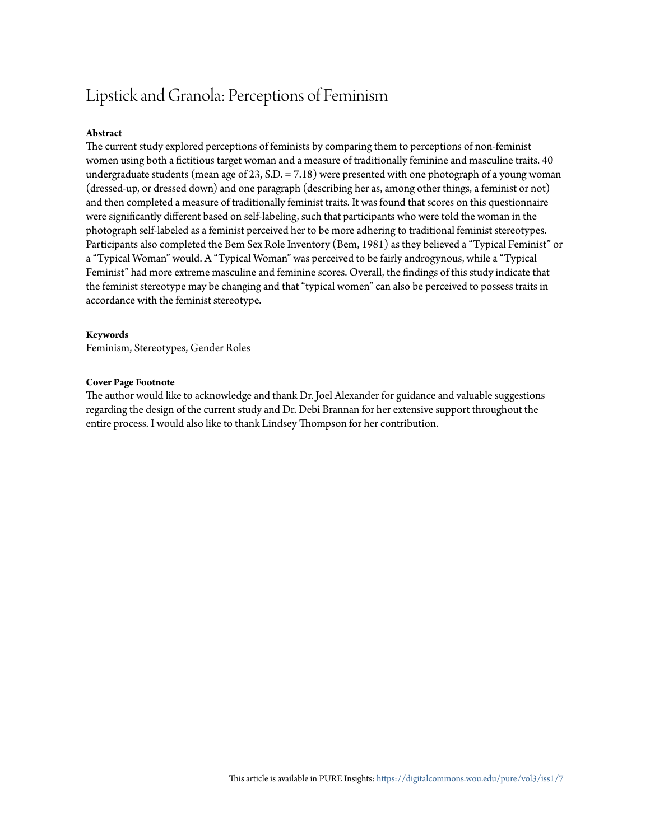# Lipstick and Granola: Perceptions of Feminism

#### **Abstract**

The current study explored perceptions of feminists by comparing them to perceptions of non-feminist women using both a fictitious target woman and a measure of traditionally feminine and masculine traits. 40 undergraduate students (mean age of 23, S.D. = 7.18) were presented with one photograph of a young woman (dressed-up, or dressed down) and one paragraph (describing her as, among other things, a feminist or not) and then completed a measure of traditionally feminist traits. It was found that scores on this questionnaire were significantly different based on self-labeling, such that participants who were told the woman in the photograph self-labeled as a feminist perceived her to be more adhering to traditional feminist stereotypes. Participants also completed the Bem Sex Role Inventory (Bem, 1981) as they believed a "Typical Feminist" or a "Typical Woman" would. A "Typical Woman" was perceived to be fairly androgynous, while a "Typical Feminist" had more extreme masculine and feminine scores. Overall, the findings of this study indicate that the feminist stereotype may be changing and that "typical women" can also be perceived to possess traits in accordance with the feminist stereotype.

#### **Keywords**

Feminism, Stereotypes, Gender Roles

#### **Cover Page Footnote**

The author would like to acknowledge and thank Dr. Joel Alexander for guidance and valuable suggestions regarding the design of the current study and Dr. Debi Brannan for her extensive support throughout the entire process. I would also like to thank Lindsey Thompson for her contribution.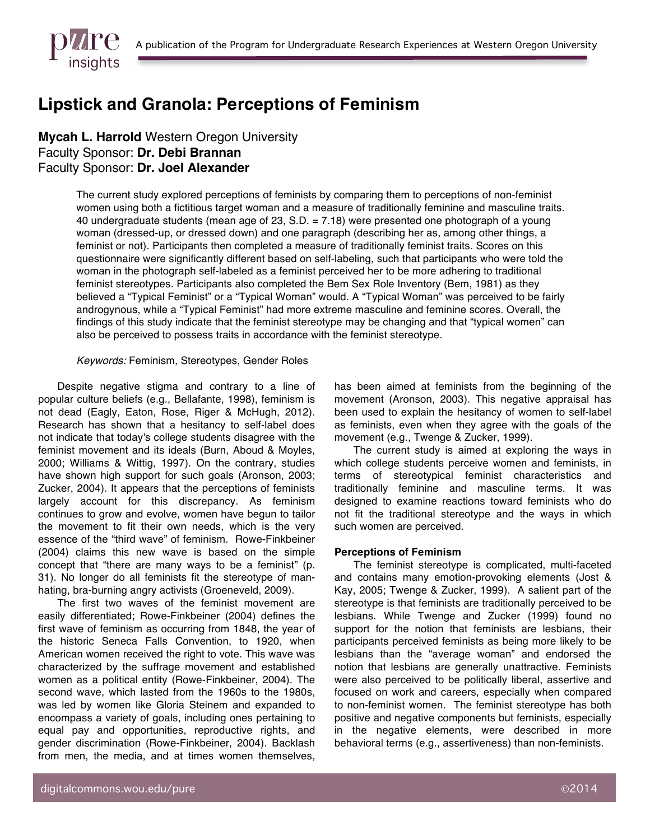

# **Lipstick and Granola: Perceptions of Feminism**

**Mycah L. Harrold** Western Oregon University Faculty Sponsor: **Dr. Debi Brannan**  Faculty Sponsor: **Dr. Joel Alexander**

> The current study explored perceptions of feminists by comparing them to perceptions of non-feminist women using both a fictitious target woman and a measure of traditionally feminine and masculine traits. 40 undergraduate students (mean age of 23, S.D. = 7.18) were presented one photograph of a young woman (dressed-up, or dressed down) and one paragraph (describing her as, among other things, a feminist or not). Participants then completed a measure of traditionally feminist traits. Scores on this questionnaire were significantly different based on self-labeling, such that participants who were told the woman in the photograph self-labeled as a feminist perceived her to be more adhering to traditional feminist stereotypes. Participants also completed the Bem Sex Role Inventory (Bem, 1981) as they believed a "Typical Feminist" or a "Typical Woman" would. A "Typical Woman" was perceived to be fairly androgynous, while a "Typical Feminist" had more extreme masculine and feminine scores. Overall, the findings of this study indicate that the feminist stereotype may be changing and that "typical women" can also be perceived to possess traits in accordance with the feminist stereotype.

#### *Keywords:* Feminism, Stereotypes, Gender Roles

Despite negative stigma and contrary to a line of popular culture beliefs (e.g., Bellafante, 1998), feminism is not dead (Eagly, Eaton, Rose, Riger & McHugh, 2012). Research has shown that a hesitancy to self-label does not indicate that today's college students disagree with the feminist movement and its ideals (Burn, Aboud & Moyles, 2000; Williams & Wittig, 1997). On the contrary, studies have shown high support for such goals (Aronson, 2003; Zucker, 2004). It appears that the perceptions of feminists largely account for this discrepancy. As feminism continues to grow and evolve, women have begun to tailor the movement to fit their own needs, which is the very essence of the "third wave" of feminism. Rowe-Finkbeiner (2004) claims this new wave is based on the simple concept that "there are many ways to be a feminist" (p. 31). No longer do all feminists fit the stereotype of manhating, bra-burning angry activists (Groeneveld, 2009).

The first two waves of the feminist movement are easily differentiated; Rowe-Finkbeiner (2004) defines the first wave of feminism as occurring from 1848, the year of the historic Seneca Falls Convention, to 1920, when American women received the right to vote. This wave was characterized by the suffrage movement and established women as a political entity (Rowe-Finkbeiner, 2004). The second wave, which lasted from the 1960s to the 1980s, was led by women like Gloria Steinem and expanded to encompass a variety of goals, including ones pertaining to equal pay and opportunities, reproductive rights, and gender discrimination (Rowe-Finkbeiner, 2004). Backlash from men, the media, and at times women themselves,

has been aimed at feminists from the beginning of the movement (Aronson, 2003). This negative appraisal has been used to explain the hesitancy of women to self-label as feminists, even when they agree with the goals of the movement (e.g., Twenge & Zucker, 1999).

The current study is aimed at exploring the ways in which college students perceive women and feminists, in terms of stereotypical feminist characteristics and traditionally feminine and masculine terms. It was designed to examine reactions toward feminists who do not fit the traditional stereotype and the ways in which such women are perceived.

#### **Perceptions of Feminism**

The feminist stereotype is complicated, multi-faceted and contains many emotion-provoking elements (Jost & Kay, 2005; Twenge & Zucker, 1999). A salient part of the stereotype is that feminists are traditionally perceived to be lesbians. While Twenge and Zucker (1999) found no support for the notion that feminists are lesbians, their participants perceived feminists as being more likely to be lesbians than the "average woman" and endorsed the notion that lesbians are generally unattractive. Feminists were also perceived to be politically liberal, assertive and focused on work and careers, especially when compared to non-feminist women. The feminist stereotype has both positive and negative components but feminists, especially in the negative elements, were described in more behavioral terms (e.g., assertiveness) than non-feminists.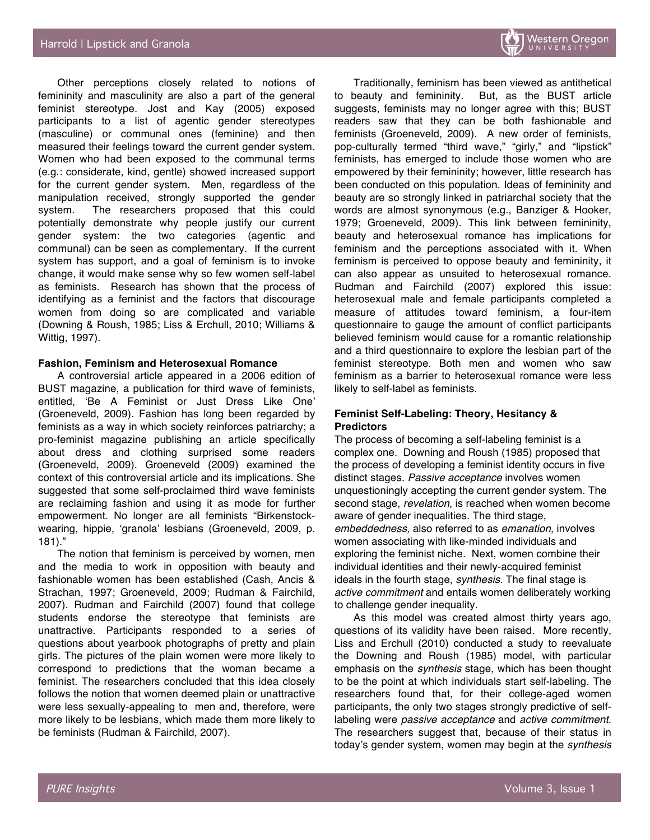Other perceptions closely related to notions of femininity and masculinity are also a part of the general feminist stereotype. Jost and Kay (2005) exposed participants to a list of agentic gender stereotypes (masculine) or communal ones (feminine) and then measured their feelings toward the current gender system. Women who had been exposed to the communal terms (e.g.: considerate, kind, gentle) showed increased support for the current gender system. Men, regardless of the manipulation received, strongly supported the gender system. The researchers proposed that this could potentially demonstrate why people justify our current gender system: the two categories (agentic and communal) can be seen as complementary. If the current system has support, and a goal of feminism is to invoke change, it would make sense why so few women self-label as feminists. Research has shown that the process of identifying as a feminist and the factors that discourage women from doing so are complicated and variable (Downing & Roush, 1985; Liss & Erchull, 2010; Williams & Wittig, 1997).

#### **Fashion, Feminism and Heterosexual Romance**

A controversial article appeared in a 2006 edition of BUST magazine, a publication for third wave of feminists, entitled, 'Be A Feminist or Just Dress Like One' (Groeneveld, 2009). Fashion has long been regarded by feminists as a way in which society reinforces patriarchy; a pro-feminist magazine publishing an article specifically about dress and clothing surprised some readers (Groeneveld, 2009). Groeneveld (2009) examined the context of this controversial article and its implications. She suggested that some self-proclaimed third wave feminists are reclaiming fashion and using it as mode for further empowerment. No longer are all feminists "Birkenstockwearing, hippie, 'granola' lesbians (Groeneveld, 2009, p. 181)."

The notion that feminism is perceived by women, men and the media to work in opposition with beauty and fashionable women has been established (Cash, Ancis & Strachan, 1997; Groeneveld, 2009; Rudman & Fairchild, 2007). Rudman and Fairchild (2007) found that college students endorse the stereotype that feminists are unattractive. Participants responded to a series of questions about yearbook photographs of pretty and plain girls. The pictures of the plain women were more likely to correspond to predictions that the woman became a feminist. The researchers concluded that this idea closely follows the notion that women deemed plain or unattractive were less sexually-appealing to men and, therefore, were more likely to be lesbians, which made them more likely to be feminists (Rudman & Fairchild, 2007).

Traditionally, feminism has been viewed as antithetical to beauty and femininity. But, as the BUST article suggests, feminists may no longer agree with this; BUST readers saw that they can be both fashionable and feminists (Groeneveld, 2009). A new order of feminists, pop-culturally termed "third wave," "girly," and "lipstick" feminists, has emerged to include those women who are empowered by their femininity; however, little research has been conducted on this population. Ideas of femininity and beauty are so strongly linked in patriarchal society that the words are almost synonymous (e.g., Banziger & Hooker, 1979; Groeneveld, 2009). This link between femininity, beauty and heterosexual romance has implications for feminism and the perceptions associated with it. When feminism is perceived to oppose beauty and femininity, it can also appear as unsuited to heterosexual romance. Rudman and Fairchild (2007) explored this issue: heterosexual male and female participants completed a measure of attitudes toward feminism, a four-item questionnaire to gauge the amount of conflict participants believed feminism would cause for a romantic relationship and a third questionnaire to explore the lesbian part of the feminist stereotype. Both men and women who saw feminism as a barrier to heterosexual romance were less likely to self-label as feminists.

#### **Feminist Self-Labeling: Theory, Hesitancy & Predictors**

The process of becoming a self-labeling feminist is a complex one. Downing and Roush (1985) proposed that the process of developing a feminist identity occurs in five distinct stages. *Passive acceptance* involves women unquestioningly accepting the current gender system. The second stage, *revelation*, is reached when women become aware of gender inequalities. The third stage, *embeddedness,* also referred to as *emanation*, involves women associating with like-minded individuals and exploring the feminist niche. Next, women combine their individual identities and their newly-acquired feminist ideals in the fourth stage, *synthesis.* The final stage is *active commitment* and entails women deliberately working to challenge gender inequality.

As this model was created almost thirty years ago, questions of its validity have been raised. More recently, Liss and Erchull (2010) conducted a study to reevaluate the Downing and Roush (1985) model, with particular emphasis on the *synthesis* stage, which has been thought to be the point at which individuals start self-labeling. The researchers found that, for their college-aged women participants, the only two stages strongly predictive of selflabeling were *passive acceptance* and *active commitment*. The researchers suggest that, because of their status in today's gender system, women may begin at the *synthesis*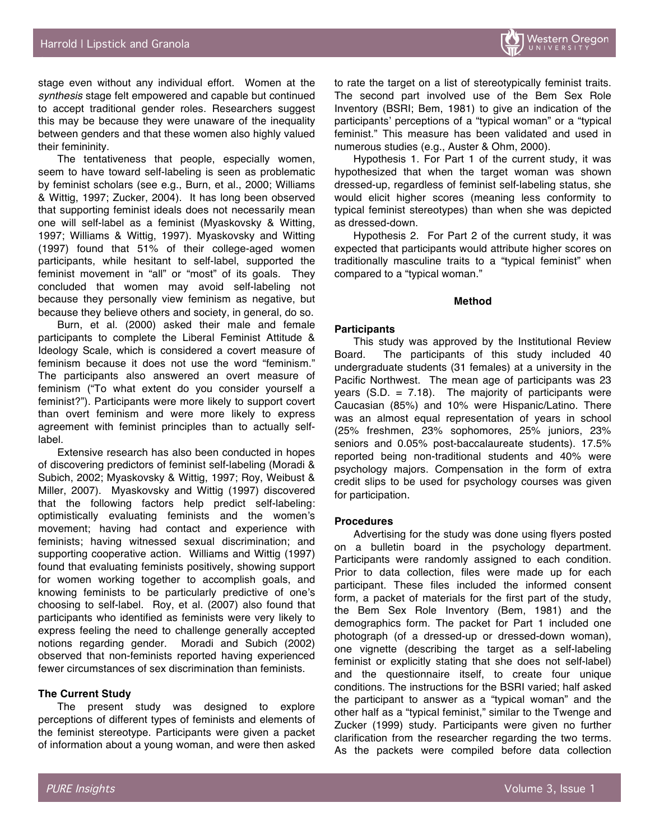stage even without any individual effort. Women at the *synthesis* stage felt empowered and capable but continued to accept traditional gender roles. Researchers suggest this may be because they were unaware of the inequality between genders and that these women also highly valued their femininity.

The tentativeness that people, especially women, seem to have toward self-labeling is seen as problematic by feminist scholars (see e.g., Burn, et al., 2000; Williams & Wittig, 1997; Zucker, 2004). It has long been observed that supporting feminist ideals does not necessarily mean one will self-label as a feminist (Myaskovsky & Witting, 1997; Williams & Wittig, 1997). Myaskovsky and Witting (1997) found that 51% of their college-aged women participants, while hesitant to self-label, supported the feminist movement in "all" or "most" of its goals. They concluded that women may avoid self-labeling not because they personally view feminism as negative, but because they believe others and society, in general, do so.

Burn, et al. (2000) asked their male and female participants to complete the Liberal Feminist Attitude & Ideology Scale, which is considered a covert measure of feminism because it does not use the word "feminism." The participants also answered an overt measure of feminism ("To what extent do you consider yourself a feminist?"). Participants were more likely to support covert than overt feminism and were more likely to express agreement with feminist principles than to actually selflabel.

Extensive research has also been conducted in hopes of discovering predictors of feminist self-labeling (Moradi & Subich, 2002; Myaskovsky & Wittig, 1997; Roy, Weibust & Miller, 2007). Myaskovsky and Wittig (1997) discovered that the following factors help predict self-labeling: optimistically evaluating feminists and the women's movement; having had contact and experience with feminists; having witnessed sexual discrimination; and supporting cooperative action. Williams and Wittig (1997) found that evaluating feminists positively, showing support for women working together to accomplish goals, and knowing feminists to be particularly predictive of one's choosing to self-label. Roy, et al. (2007) also found that participants who identified as feminists were very likely to express feeling the need to challenge generally accepted notions regarding gender. Moradi and Subich (2002) observed that non-feminists reported having experienced fewer circumstances of sex discrimination than feminists.

#### **The Current Study**

The present study was designed to explore perceptions of different types of feminists and elements of the feminist stereotype. Participants were given a packet of information about a young woman, and were then asked

to rate the target on a list of stereotypically feminist traits. The second part involved use of the Bem Sex Role Inventory (BSRI; Bem, 1981) to give an indication of the participants' perceptions of a "typical woman" or a "typical feminist." This measure has been validated and used in numerous studies (e.g., Auster & Ohm, 2000).

Hypothesis 1. For Part 1 of the current study, it was hypothesized that when the target woman was shown dressed-up, regardless of feminist self-labeling status, she would elicit higher scores (meaning less conformity to typical feminist stereotypes) than when she was depicted as dressed-down.

Hypothesis 2. For Part 2 of the current study, it was expected that participants would attribute higher scores on traditionally masculine traits to a "typical feminist" when compared to a "typical woman."

#### **Method**

#### **Participants**

This study was approved by the Institutional Review Board. The participants of this study included 40 undergraduate students (31 females) at a university in the Pacific Northwest. The mean age of participants was 23 years  $(S.D. = 7.18)$ . The majority of participants were Caucasian (85%) and 10% were Hispanic/Latino. There was an almost equal representation of years in school (25% freshmen, 23% sophomores, 25% juniors, 23% seniors and 0.05% post-baccalaureate students). 17.5% reported being non-traditional students and 40% were psychology majors. Compensation in the form of extra credit slips to be used for psychology courses was given for participation.

#### **Procedures**

Advertising for the study was done using flyers posted on a bulletin board in the psychology department. Participants were randomly assigned to each condition. Prior to data collection, files were made up for each participant. These files included the informed consent form, a packet of materials for the first part of the study, the Bem Sex Role Inventory (Bem, 1981) and the demographics form. The packet for Part 1 included one photograph (of a dressed-up or dressed-down woman), one vignette (describing the target as a self-labeling feminist or explicitly stating that she does not self-label) and the questionnaire itself, to create four unique conditions. The instructions for the BSRI varied; half asked the participant to answer as a "typical woman" and the other half as a "typical feminist," similar to the Twenge and Zucker (1999) study. Participants were given no further clarification from the researcher regarding the two terms. As the packets were compiled before data collection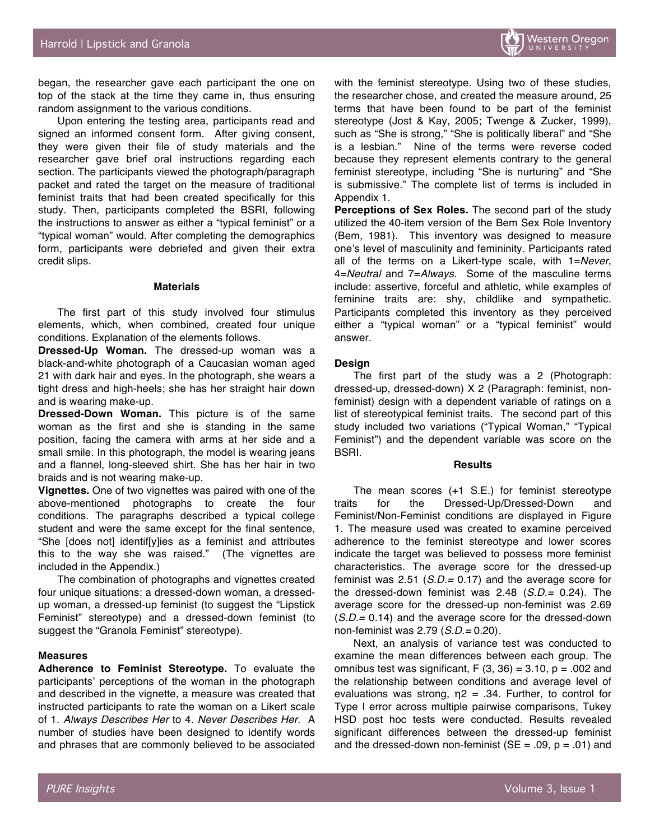began, the researcher gave each participant the one on top of the stack at the time they came in, thus ensuring random assignment to the various conditions.

Upon entering the testing area, participants read and signed an informed consent form. After giving consent, they were given their file of study materials and the researcher gave brief oral instructions regarding each section. The participants viewed the photograph/paragraph packet and rated the target on the measure of traditional feminist traits that had been created specifically for this study. Then, participants completed the BSRI, following the instructions to answer as either a "typical feminist" or a "typical woman" would. After completing the demographics form, participants were debriefed and given their extra credit slips.

#### **Materials**

The first part of this study involved four stimulus elements, which, when combined, created four unique conditions. Explanation of the elements follows.

**Dressed-Up Woman.** The dressed-up woman was a black-and-white photograph of a Caucasian woman aged 21 with dark hair and eyes. In the photograph, she wears a tight dress and high-heels; she has her straight hair down and is wearing make-up.

**Dressed-Down Woman.** This picture is of the same woman as the first and she is standing in the same position, facing the camera with arms at her side and a small smile. In this photograph, the model is wearing jeans and a flannel, long-sleeved shirt. She has her hair in two braids and is not wearing make-up.

**Vignettes.** One of two vignettes was paired with one of the above-mentioned photographs to create the four conditions. The paragraphs described a typical college student and were the same except for the final sentence, "She [does not] identif[y]ies as a feminist and attributes this to the way she was raised." (The vignettes are included in the Appendix.)

The combination of photographs and vignettes created four unique situations: a dressed-down woman, a dressedup woman, a dressed-up feminist (to suggest the "Lipstick Feminist" stereotype) and a dressed-down feminist (to suggest the "Granola Feminist" stereotype).

#### **Measures**

**Adherence to Feminist Stereotype.** To evaluate the participants' perceptions of the woman in the photograph and described in the vignette, a measure was created that instructed participants to rate the woman on a Likert scale of 1. *Always Describes Her* to 4. *Never Describes Her*. A number of studies have been designed to identify words and phrases that are commonly believed to be associated

with the feminist stereotype. Using two of these studies, the researcher chose, and created the measure around, 25 terms that have been found to be part of the feminist stereotype (Jost & Kay, 2005; Twenge & Zucker, 1999), such as "She is strong," "She is politically liberal" and "She is a lesbian." Nine of the terms were reverse coded because they represent elements contrary to the general feminist stereotype, including "She is nurturing" and "She is submissive." The complete list of terms is included in Appendix 1.

**Perceptions of Sex Roles.** The second part of the study utilized the 40-item version of the Bem Sex Role Inventory (Bem, 1981). This inventory was designed to measure one's level of masculinity and femininity. Participants rated all of the terms on a Likert-type scale, with 1=*Never*, 4=*Neutral* and 7=*Always*. Some of the masculine terms include: assertive, forceful and athletic, while examples of feminine traits are: shy, childlike and sympathetic. Participants completed this inventory as they perceived either a "typical woman" or a "typical feminist" would answer.

#### **Design**

The first part of the study was a 2 (Photograph: dressed-up, dressed-down) X 2 (Paragraph: feminist, nonfeminist) design with a dependent variable of ratings on a list of stereotypical feminist traits. The second part of this study included two variations ("Typical Woman," "Typical Feminist") and the dependent variable was score on the BSRI.

#### **Results**

The mean scores (+1 S.E.) for feminist stereotype traits for the Dressed-Up/Dressed-Down and Feminist/Non-Feminist conditions are displayed in Figure 1. The measure used was created to examine perceived adherence to the feminist stereotype and lower scores indicate the target was believed to possess more feminist characteristics. The average score for the dressed-up feminist was 2.51 (*S.D.=* 0.17) and the average score for the dressed-down feminist was 2.48 (*S.D.=* 0.24). The average score for the dressed-up non-feminist was 2.69 (*S.D.=* 0.14) and the average score for the dressed-down non-feminist was 2.79 (*S.D.=* 0.20).

Next, an analysis of variance test was conducted to examine the mean differences between each group. The omnibus test was significant,  $F(3, 36) = 3.10$ ,  $p = .002$  and the relationship between conditions and average level of evaluations was strong,  $\eta$ 2 = .34. Further, to control for Type I error across multiple pairwise comparisons, Tukey HSD post hoc tests were conducted. Results revealed significant differences between the dressed-up feminist and the dressed-down non-feminist ( $SE = .09$ ,  $p = .01$ ) and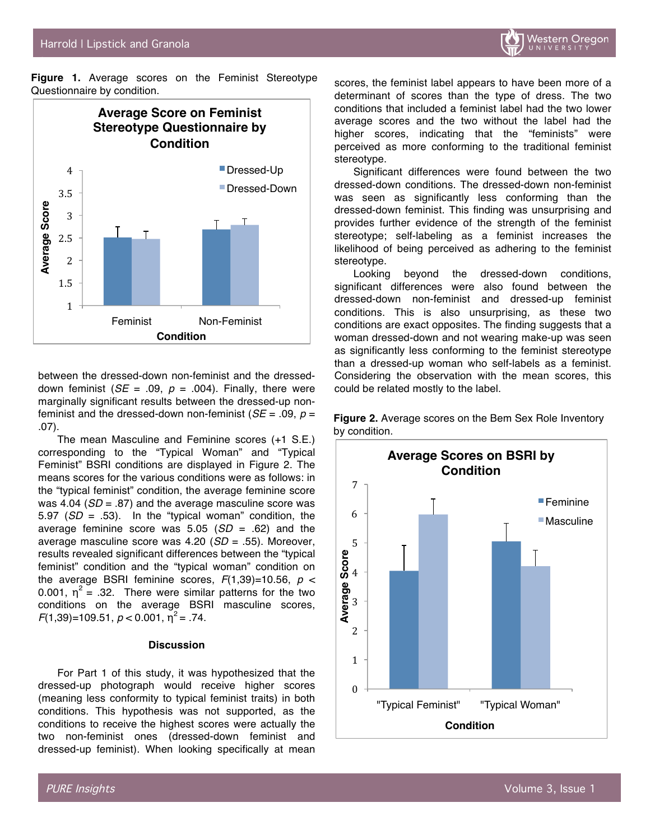

**Figure 1.** Average scores on the Feminist Stereotype Questionnaire by condition.



between the dressed-down non-feminist and the dresseddown feminist  $(SE = .09, p = .004)$ . Finally, there were marginally significant results between the dressed-up nonfeminist and the dressed-down non-feminist  $(SE = .09, p =$ .07).

The mean Masculine and Feminine scores (+1 S.E.) corresponding to the "Typical Woman" and "Typical Feminist" BSRI conditions are displayed in Figure 2. The means scores for the various conditions were as follows: in the "typical feminist" condition, the average feminine score was 4.04 (*SD* = .87) and the average masculine score was 5.97 (*SD* = .53). In the "typical woman" condition, the average feminine score was 5.05 (*SD* = .62) and the average masculine score was 4.20 (*SD* = .55). Moreover, results revealed significant differences between the "typical feminist" condition and the "typical woman" condition on the average BSRI feminine scores,  $F(1,39)=10.56$ ,  $p <$ 0.001,  $\eta^2$  = .32. There were similar patterns for the two conditions on the average BSRI masculine scores,  $F(1,39)$ =109.51,  $p < 0.001$ ,  $p^2$  = .74.

#### **Discussion**

For Part 1 of this study, it was hypothesized that the dressed-up photograph would receive higher scores (meaning less conformity to typical feminist traits) in both conditions. This hypothesis was not supported, as the conditions to receive the highest scores were actually the two non-feminist ones (dressed-down feminist and dressed-up feminist). When looking specifically at mean

scores, the feminist label appears to have been more of a determinant of scores than the type of dress. The two conditions that included a feminist label had the two lower average scores and the two without the label had the higher scores, indicating that the "feminists" were perceived as more conforming to the traditional feminist stereotype.

Significant differences were found between the two dressed-down conditions. The dressed-down non-feminist was seen as significantly less conforming than the dressed-down feminist. This finding was unsurprising and provides further evidence of the strength of the feminist stereotype; self-labeling as a feminist increases the likelihood of being perceived as adhering to the feminist stereotype.

Looking beyond the dressed-down conditions, significant differences were also found between the dressed-down non-feminist and dressed-up feminist conditions. This is also unsurprising, as these two conditions are exact opposites. The finding suggests that a woman dressed-down and not wearing make-up was seen as significantly less conforming to the feminist stereotype than a dressed-up woman who self-labels as a feminist. Considering the observation with the mean scores, this could be related mostly to the label.

**Figure 2.** Average scores on the Bem Sex Role Inventory by condition.

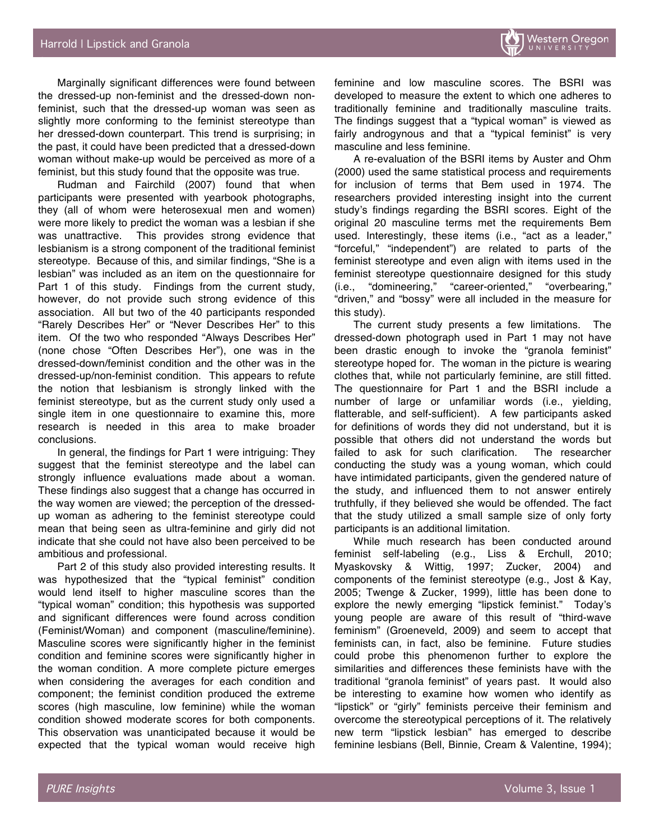Marginally significant differences were found between the dressed-up non-feminist and the dressed-down nonfeminist, such that the dressed-up woman was seen as slightly more conforming to the feminist stereotype than her dressed-down counterpart. This trend is surprising; in the past, it could have been predicted that a dressed-down woman without make-up would be perceived as more of a feminist, but this study found that the opposite was true.

Rudman and Fairchild (2007) found that when participants were presented with yearbook photographs, they (all of whom were heterosexual men and women) were more likely to predict the woman was a lesbian if she was unattractive. This provides strong evidence that lesbianism is a strong component of the traditional feminist stereotype. Because of this, and similar findings, "She is a lesbian" was included as an item on the questionnaire for Part 1 of this study. Findings from the current study, however, do not provide such strong evidence of this association. All but two of the 40 participants responded "Rarely Describes Her" or "Never Describes Her" to this item. Of the two who responded "Always Describes Her" (none chose "Often Describes Her"), one was in the dressed-down/feminist condition and the other was in the dressed-up/non-feminist condition. This appears to refute the notion that lesbianism is strongly linked with the feminist stereotype, but as the current study only used a single item in one questionnaire to examine this, more research is needed in this area to make broader conclusions.

In general, the findings for Part 1 were intriguing: They suggest that the feminist stereotype and the label can strongly influence evaluations made about a woman. These findings also suggest that a change has occurred in the way women are viewed; the perception of the dressedup woman as adhering to the feminist stereotype could mean that being seen as ultra-feminine and girly did not indicate that she could not have also been perceived to be ambitious and professional.

Part 2 of this study also provided interesting results. It was hypothesized that the "typical feminist" condition would lend itself to higher masculine scores than the "typical woman" condition; this hypothesis was supported and significant differences were found across condition (Feminist/Woman) and component (masculine/feminine). Masculine scores were significantly higher in the feminist condition and feminine scores were significantly higher in the woman condition. A more complete picture emerges when considering the averages for each condition and component; the feminist condition produced the extreme scores (high masculine, low feminine) while the woman condition showed moderate scores for both components. This observation was unanticipated because it would be expected that the typical woman would receive high

feminine and low masculine scores. The BSRI was developed to measure the extent to which one adheres to traditionally feminine and traditionally masculine traits. The findings suggest that a "typical woman" is viewed as fairly androgynous and that a "typical feminist" is very masculine and less feminine.

A re-evaluation of the BSRI items by Auster and Ohm (2000) used the same statistical process and requirements for inclusion of terms that Bem used in 1974. The researchers provided interesting insight into the current study's findings regarding the BSRI scores. Eight of the original 20 masculine terms met the requirements Bem used. Interestingly, these items (i.e., "act as a leader," "forceful," "independent") are related to parts of the feminist stereotype and even align with items used in the feminist stereotype questionnaire designed for this study (i.e., "domineering," "career-oriented," "overbearing," "driven," and "bossy" were all included in the measure for this study).

The current study presents a few limitations. The dressed-down photograph used in Part 1 may not have been drastic enough to invoke the "granola feminist" stereotype hoped for. The woman in the picture is wearing clothes that, while not particularly feminine, are still fitted. The questionnaire for Part 1 and the BSRI include a number of large or unfamiliar words (i.e., yielding, flatterable, and self-sufficient). A few participants asked for definitions of words they did not understand, but it is possible that others did not understand the words but failed to ask for such clarification. The researcher conducting the study was a young woman, which could have intimidated participants, given the gendered nature of the study, and influenced them to not answer entirely truthfully, if they believed she would be offended. The fact that the study utilized a small sample size of only forty participants is an additional limitation.

While much research has been conducted around feminist self-labeling (e.g., Liss & Erchull, 2010; Myaskovsky & Wittig, 1997; Zucker, 2004) and components of the feminist stereotype (e.g., Jost & Kay, 2005; Twenge & Zucker, 1999), little has been done to explore the newly emerging "lipstick feminist." Today's young people are aware of this result of "third-wave feminism" (Groeneveld, 2009) and seem to accept that feminists can, in fact, also be feminine. Future studies could probe this phenomenon further to explore the similarities and differences these feminists have with the traditional "granola feminist" of years past. It would also be interesting to examine how women who identify as "lipstick" or "girly" feminists perceive their feminism and overcome the stereotypical perceptions of it. The relatively new term "lipstick lesbian" has emerged to describe feminine lesbians (Bell, Binnie, Cream & Valentine, 1994);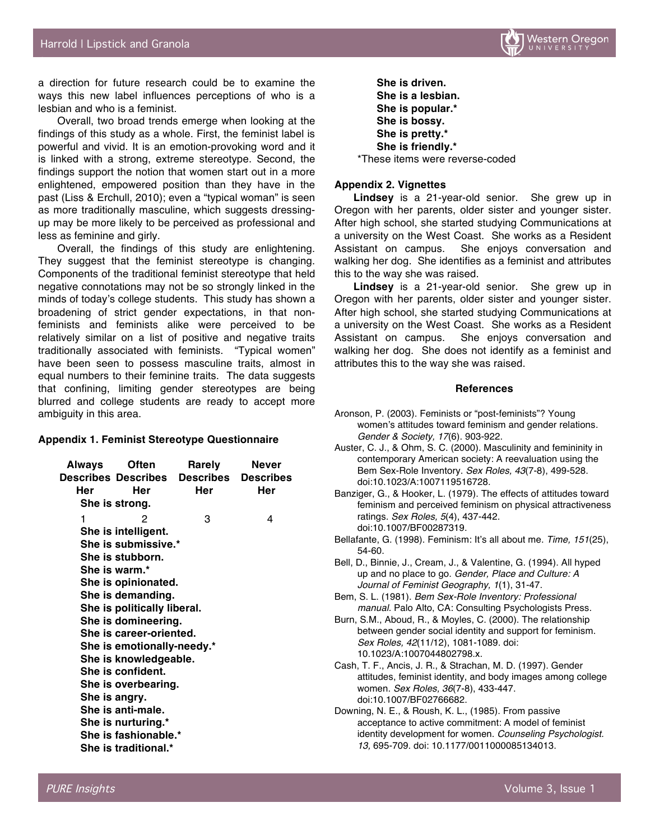

a direction for future research could be to examine the ways this new label influences perceptions of who is a lesbian and who is a feminist.

Overall, two broad trends emerge when looking at the findings of this study as a whole. First, the feminist label is powerful and vivid. It is an emotion-provoking word and it is linked with a strong, extreme stereotype. Second, the findings support the notion that women start out in a more enlightened, empowered position than they have in the past (Liss & Erchull, 2010); even a "typical woman" is seen as more traditionally masculine, which suggests dressingup may be more likely to be perceived as professional and less as feminine and girly.

Overall, the findings of this study are enlightening. They suggest that the feminist stereotype is changing. Components of the traditional feminist stereotype that held negative connotations may not be so strongly linked in the minds of today's college students. This study has shown a broadening of strict gender expectations, in that nonfeminists and feminists alike were perceived to be relatively similar on a list of positive and negative traits traditionally associated with feminists. "Typical women" have been seen to possess masculine traits, almost in equal numbers to their feminine traits. The data suggests that confining, limiting gender stereotypes are being blurred and college students are ready to accept more ambiguity in this area.

#### **Appendix 1. Feminist Stereotype Questionnaire**

| Always                      | Often                      | Rarely                                         | Never |
|-----------------------------|----------------------------|------------------------------------------------|-------|
|                             |                            | <b>Describes Describes Describes Describes</b> |       |
| Her                         | Her                        | Her                                            | Her   |
|                             | She is strong.             |                                                |       |
| 1                           | 2                          | 3                                              | 4     |
|                             | She is intelligent.        |                                                |       |
| She is submissive.*         |                            |                                                |       |
| She is stubborn.            |                            |                                                |       |
|                             | She is warm.*              |                                                |       |
| She is opinionated.         |                            |                                                |       |
| She is demanding.           |                            |                                                |       |
| She is politically liberal. |                            |                                                |       |
| She is domineering.         |                            |                                                |       |
| She is career-oriented.     |                            |                                                |       |
|                             | She is emotionally-needy.* |                                                |       |
|                             | She is knowledgeable.      |                                                |       |
|                             | She is confident.          |                                                |       |
| She is overbearing.         |                            |                                                |       |
| She is angry.               |                            |                                                |       |
| She is anti-male.           |                            |                                                |       |
| She is nurturing.*          |                            |                                                |       |
| She is fashionable.*        |                            |                                                |       |
| She is traditional.*        |                            |                                                |       |

**She is driven. She is a lesbian. She is popular.\* She is bossy. She is pretty.\* She is friendly.\*** \*These items were reverse-coded

#### **Appendix 2. Vignettes**

**Lindsey** is a 21-year-old senior. She grew up in Oregon with her parents, older sister and younger sister. After high school, she started studying Communications at a university on the West Coast. She works as a Resident Assistant on campus. She enjoys conversation and walking her dog. She identifies as a feminist and attributes this to the way she was raised.

**Lindsey** is a 21-year-old senior. She grew up in Oregon with her parents, older sister and younger sister. After high school, she started studying Communications at a university on the West Coast. She works as a Resident Assistant on campus. She enjoys conversation and walking her dog. She does not identify as a feminist and attributes this to the way she was raised.

#### **References**

- Aronson, P. (2003). Feminists or "post-feminists"? Young women's attitudes toward feminism and gender relations*. Gender & Society, 17*(6). 903-922.
- Auster, C. J., & Ohm, S. C. (2000). Masculinity and femininity in contemporary American society: A reevaluation using the Bem Sex-Role Inventory. *Sex Roles, 43*(7-8), 499-528. doi:10.1023/A:1007119516728.
- Banziger, G., & Hooker, L. (1979). The effects of attitudes toward feminism and perceived feminism on physical attractiveness ratings. *Sex Roles, 5*(4), 437-442. doi:10.1007/BF00287319.
- Bellafante, G. (1998). Feminism: It's all about me. *Time, 151*(25), 54-60.
- Bell, D., Binnie, J., Cream, J., & Valentine, G. (1994). All hyped up and no place to go. *Gender, Place and Culture: A Journal of Feminist Geography, 1*(1), 31-47.
- Bem, S. L. (1981). *Bem Sex-Role Inventory: Professional manual.* Palo Alto, CA: Consulting Psychologists Press.
- Burn, S.M., Aboud, R., & Moyles, C. (2000). The relationship between gender social identity and support for feminism. *Sex Roles, 42*(11/12), 1081-1089. doi: 10.1023/A:1007044802798.x.
- Cash, T. F., Ancis, J. R., & Strachan, M. D. (1997). Gender attitudes, feminist identity, and body images among college women. *Sex Roles, 36*(7-8), 433-447. doi:10.1007/BF02766682.
- Downing, N. E., & Roush, K. L., (1985). From passive acceptance to active commitment: A model of feminist identity development for women. *Counseling Psychologist. 13,* 695-709. doi: 10.1177/0011000085134013.